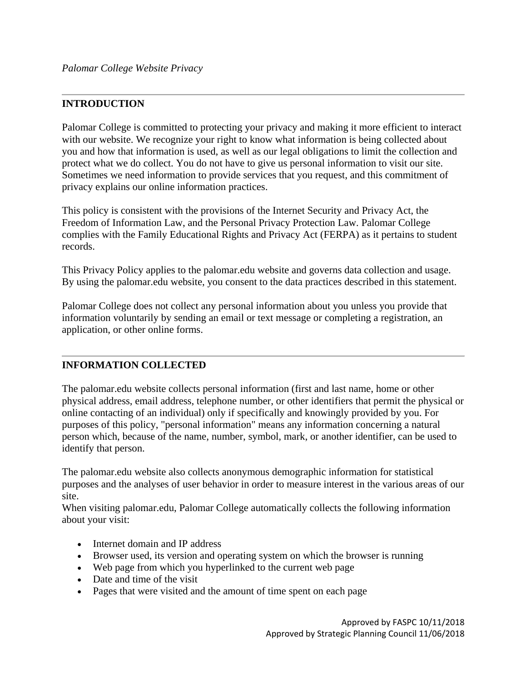## **INTRODUCTION**

Palomar College is committed to protecting your privacy and making it more efficient to interact with our website. We recognize your right to know what information is being collected about you and how that information is used, as well as our legal obligations to limit the collection and protect what we do collect. You do not have to give us personal information to visit our site. Sometimes we need information to provide services that you request, and this commitment of privacy explains our online information practices.

This policy is consistent with the provisions of the Internet Security and Privacy Act, the Freedom of Information Law, and the Personal Privacy Protection Law. Palomar College complies with the Family Educational Rights and Privacy Act (FERPA) as it pertains to student records.

This Privacy Policy applies to the palomar.edu website and governs data collection and usage. By using the palomar.edu website, you consent to the data practices described in this statement.

Palomar College does not collect any personal information about you unless you provide that information voluntarily by sending an email or text message or completing a registration, an application, or other online forms.

#### **INFORMATION COLLECTED**

The palomar.edu website collects personal information (first and last name, home or other physical address, email address, telephone number, or other identifiers that permit the physical or online contacting of an individual) only if specifically and knowingly provided by you. For purposes of this policy, "personal information" means any information concerning a natural person which, because of the name, number, symbol, mark, or another identifier, can be used to identify that person.

The palomar.edu website also collects anonymous demographic information for statistical purposes and the analyses of user behavior in order to measure interest in the various areas of our site.

When visiting palomar.edu, Palomar College automatically collects the following information about your visit:

- Internet domain and IP address
- Browser used, its version and operating system on which the browser is running
- Web page from which you hyperlinked to the current web page
- Date and time of the visit
- Pages that were visited and the amount of time spent on each page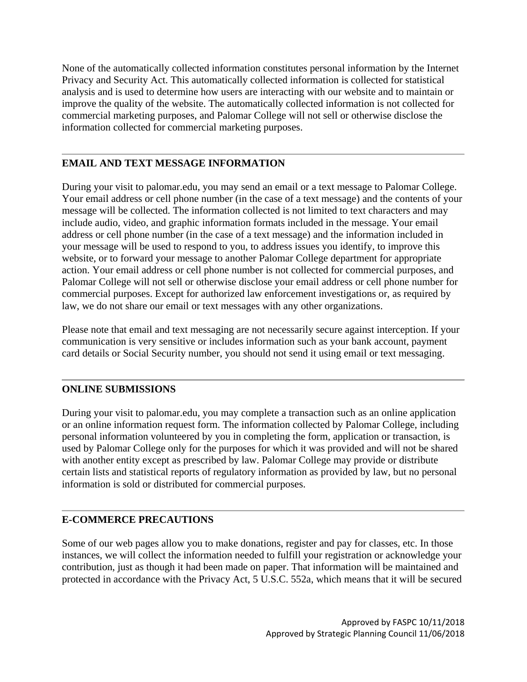None of the automatically collected information constitutes personal information by the Internet Privacy and Security Act. This automatically collected information is collected for statistical analysis and is used to determine how users are interacting with our website and to maintain or improve the quality of the website. The automatically collected information is not collected for commercial marketing purposes, and Palomar College will not sell or otherwise disclose the information collected for commercial marketing purposes.

## **EMAIL AND TEXT MESSAGE INFORMATION**

During your visit to palomar.edu, you may send an email or a text message to Palomar College. Your email address or cell phone number (in the case of a text message) and the contents of your message will be collected. The information collected is not limited to text characters and may include audio, video, and graphic information formats included in the message. Your email address or cell phone number (in the case of a text message) and the information included in your message will be used to respond to you, to address issues you identify, to improve this website, or to forward your message to another Palomar College department for appropriate action. Your email address or cell phone number is not collected for commercial purposes, and Palomar College will not sell or otherwise disclose your email address or cell phone number for commercial purposes. Except for authorized law enforcement investigations or, as required by law, we do not share our email or text messages with any other organizations.

Please note that email and text messaging are not necessarily secure against interception. If your communication is very sensitive or includes information such as your bank account, payment card details or Social Security number, you should not send it using email or text messaging.

#### **ONLINE SUBMISSIONS**

During your visit to palomar.edu, you may complete a transaction such as an online application or an online information request form. The information collected by Palomar College, including personal information volunteered by you in completing the form, application or transaction, is used by Palomar College only for the purposes for which it was provided and will not be shared with another entity except as prescribed by law. Palomar College may provide or distribute certain lists and statistical reports of regulatory information as provided by law, but no personal information is sold or distributed for commercial purposes.

# **E-COMMERCE PRECAUTIONS**

Some of our web pages allow you to make donations, register and pay for classes, etc. In those instances, we will collect the information needed to fulfill your registration or acknowledge your contribution, just as though it had been made on paper. That information will be maintained and protected in accordance with the Privacy Act, 5 U.S.C. 552a, which means that it will be secured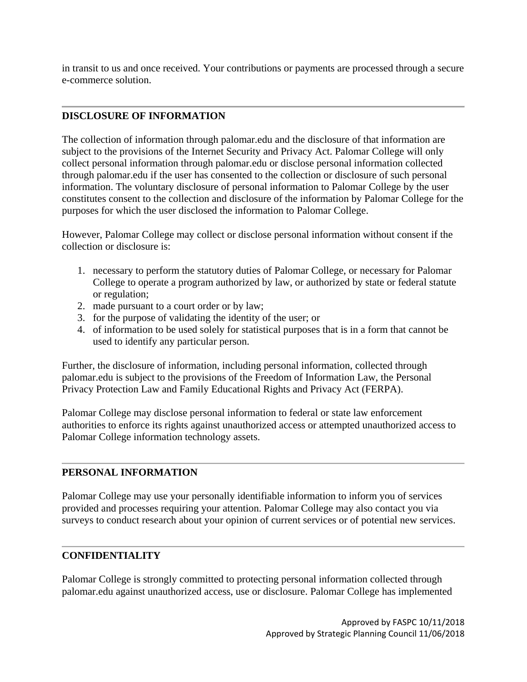in transit to us and once received. Your contributions or payments are processed through a secure e-commerce solution.

## **DISCLOSURE OF INFORMATION**

The collection of information through palomar.edu and the disclosure of that information are subject to the provisions of the Internet Security and Privacy Act. Palomar College will only collect personal information through palomar.edu or disclose personal information collected through palomar.edu if the user has consented to the collection or disclosure of such personal information. The voluntary disclosure of personal information to Palomar College by the user constitutes consent to the collection and disclosure of the information by Palomar College for the purposes for which the user disclosed the information to Palomar College.

However, Palomar College may collect or disclose personal information without consent if the collection or disclosure is:

- 1. necessary to perform the statutory duties of Palomar College, or necessary for Palomar College to operate a program authorized by law, or authorized by state or federal statute or regulation;
- 2. made pursuant to a court order or by law;
- 3. for the purpose of validating the identity of the user; or
- 4. of information to be used solely for statistical purposes that is in a form that cannot be used to identify any particular person.

Further, the disclosure of information, including personal information, collected through palomar.edu is subject to the provisions of the Freedom of Information Law, the Personal Privacy Protection Law and Family Educational Rights and Privacy Act (FERPA).

Palomar College may disclose personal information to federal or state law enforcement authorities to enforce its rights against unauthorized access or attempted unauthorized access to Palomar College information technology assets.

# **PERSONAL INFORMATION**

Palomar College may use your personally identifiable information to inform you of services provided and processes requiring your attention. Palomar College may also contact you via surveys to conduct research about your opinion of current services or of potential new services.

# **CONFIDENTIALITY**

Palomar College is strongly committed to protecting personal information collected through palomar.edu against unauthorized access, use or disclosure. Palomar College has implemented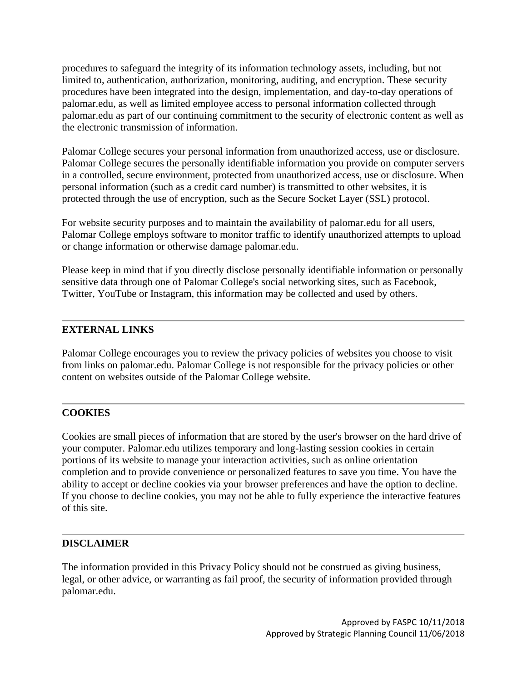procedures to safeguard the integrity of its information technology assets, including, but not limited to, authentication, authorization, monitoring, auditing, and encryption. These security procedures have been integrated into the design, implementation, and day-to-day operations of palomar.edu, as well as limited employee access to personal information collected through palomar.edu as part of our continuing commitment to the security of electronic content as well as the electronic transmission of information.

Palomar College secures your personal information from unauthorized access, use or disclosure. Palomar College secures the personally identifiable information you provide on computer servers in a controlled, secure environment, protected from unauthorized access, use or disclosure. When personal information (such as a credit card number) is transmitted to other websites, it is protected through the use of encryption, such as the Secure Socket Layer (SSL) protocol.

For website security purposes and to maintain the availability of palomar.edu for all users, Palomar College employs software to monitor traffic to identify unauthorized attempts to upload or change information or otherwise damage palomar.edu.

Please keep in mind that if you directly disclose personally identifiable information or personally sensitive data through one of Palomar College's social networking sites, such as Facebook, Twitter, YouTube or Instagram, this information may be collected and used by others.

## **EXTERNAL LINKS**

Palomar College encourages you to review the privacy policies of websites you choose to visit from links on palomar.edu. Palomar College is not responsible for the privacy policies or other content on websites outside of the Palomar College website.

# **COOKIES**

Cookies are small pieces of information that are stored by the user's browser on the hard drive of your computer. Palomar.edu utilizes temporary and long-lasting session cookies in certain portions of its website to manage your interaction activities, such as online orientation completion and to provide convenience or personalized features to save you time. You have the ability to accept or decline cookies via your browser preferences and have the option to decline. If you choose to decline cookies, you may not be able to fully experience the interactive features of this site.

#### **DISCLAIMER**

The information provided in this Privacy Policy should not be construed as giving business, legal, or other advice, or warranting as fail proof, the security of information provided through palomar.edu.